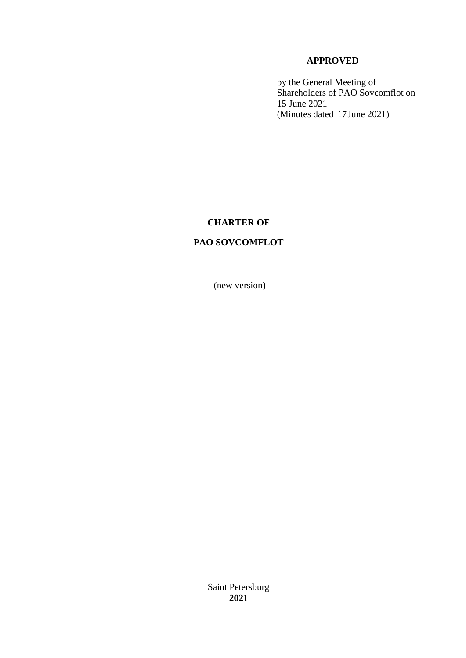# **APPROVED**

by the General Meeting of Shareholders of PAO Sovcomflot on 15 June 2021 (Minutes dated  $17$  June 2021)

# **CHARTER OF**

# **PAO SOVCOMFLOT**

(new version)

Saint Petersburg **2021**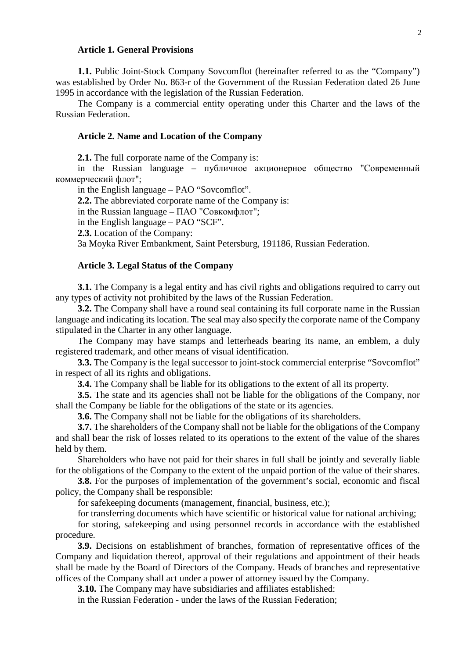## **Article 1. General Provisions**

**1.1.** Public Joint-Stock Company Sovcomflot (hereinafter referred to as the "Company") was established by Order No. 863-r of the Government of the Russian Federation dated 26 June 1995 in accordance with the legislation of the Russian Federation.

The Company is a commercial entity operating under this Charter and the laws of the Russian Federation.

### **Article 2. Name and Location of the Company**

**2.1.** The full corporate name of the Company is:

in the Russian language – публичное акционерное общество "Современный коммерческий флот";

in the English language – PAO "Sovcomflot".

**2.2.** The abbreviated corporate name of the Company is:

in the Russian language – ПАО "Совкомфлот";

in the English language – PAO "SCF".

**2.3.** Location of the Company:

3a Moyka River Embankment, Saint Petersburg, 191186, Russian Federation.

### **Article 3. Legal Status of the Company**

**3.1.** The Company is a legal entity and has civil rights and obligations required to carry out any types of activity not prohibited by the laws of the Russian Federation.

**3.2.** The Company shall have a round seal containing its full corporate name in the Russian language and indicating its location. The seal may also specify the corporate name of the Company stipulated in the Charter in any other language.

The Company may have stamps and letterheads bearing its name, an emblem, a duly registered trademark, and other means of visual identification.

**3.3.** The Company is the legal successor to joint-stock commercial enterprise "Sovcomflot" in respect of all its rights and obligations.

**3.4.** The Company shall be liable for its obligations to the extent of all its property.

**3.5.** The state and its agencies shall not be liable for the obligations of the Company, nor shall the Company be liable for the obligations of the state or its agencies.

**3.6.** The Company shall not be liable for the obligations of its shareholders.

**3.7.** The shareholders of the Company shall not be liable for the obligations of the Company and shall bear the risk of losses related to its operations to the extent of the value of the shares held by them.

Shareholders who have not paid for their shares in full shall be jointly and severally liable for the obligations of the Company to the extent of the unpaid portion of the value of their shares.

**3.8.** For the purposes of implementation of the government's social, economic and fiscal policy, the Company shall be responsible:

for safekeeping documents (management, financial, business, etc.);

for transferring documents which have scientific or historical value for national archiving;

for storing, safekeeping and using personnel records in accordance with the established procedure.

**3.9.** Decisions on establishment of branches, formation of representative offices of the Company and liquidation thereof, approval of their regulations and appointment of their heads shall be made by the Board of Directors of the Company. Heads of branches and representative offices of the Company shall act under a power of attorney issued by the Company.

**3.10.** The Company may have subsidiaries and affiliates established:

in the Russian Federation - under the laws of the Russian Federation;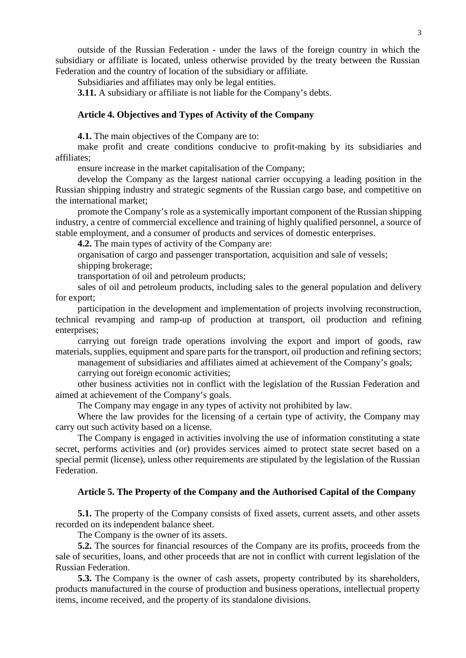outside of the Russian Federation - under the laws of the foreign country in which the subsidiary or affiliate is located, unless otherwise provided by the treaty between the Russian Federation and the country of location of the subsidiary or affiliate.

Subsidiaries and affiliates may only be legal entities.

**3.11.** A subsidiary or affiliate is not liable for the Company's debts.

### **Article 4. Objectives and Types of Activity of the Company**

**4.1.** The main objectives of the Company are to:

make profit and create conditions conducive to profit-making by its subsidiaries and affiliates;

ensure increase in the market capitalisation of the Company;

develop the Company as the largest national carrier occupying a leading position in the Russian shipping industry and strategic segments of the Russian cargo base, and competitive on the international market;

promote the Company's role as a systemically important component of the Russian shipping industry, a centre of commercial excellence and training of highly qualified personnel, a source of stable employment, and a consumer of products and services of domestic enterprises.

**4.2.** The main types of activity of the Company are:

organisation of cargo and passenger transportation, acquisition and sale of vessels; shipping brokerage;

transportation of oil and petroleum products;

sales of oil and petroleum products, including sales to the general population and delivery for export;

participation in the development and implementation of projects involving reconstruction, technical revamping and ramp-up of production at transport, oil production and refining enterprises:

carrying out foreign trade operations involving the export and import of goods, raw materials, supplies, equipment and spare parts for the transport, oil production and refining sectors;

management of subsidiaries and affiliates aimed at achievement of the Company's goals;

carrying out foreign economic activities;

other business activities not in conflict with the legislation of the Russian Federation and aimed at achievement of the Company's goals.

The Company may engage in any types of activity not prohibited by law.

Where the law provides for the licensing of a certain type of activity, the Company may carry out such activity based on a license.

The Company is engaged in activities involving the use of information constituting a state secret, performs activities and (or) provides services aimed to protect state secret based on a special permit (license), unless other requirements are stipulated by the legislation of the Russian Federation.

## **Article 5. The Property of the Company and the Authorised Capital of the Company**

**5.1.** The property of the Company consists of fixed assets, current assets, and other assets recorded on its independent balance sheet.

The Company is the owner of its assets.

**5.2.** The sources for financial resources of the Company are its profits, proceeds from the sale of securities, loans, and other proceeds that are not in conflict with current legislation of the Russian Federation.

**5.3.** The Company is the owner of cash assets, property contributed by its shareholders, products manufactured in the course of production and business operations, intellectual property items, income received, and the property of its standalone divisions.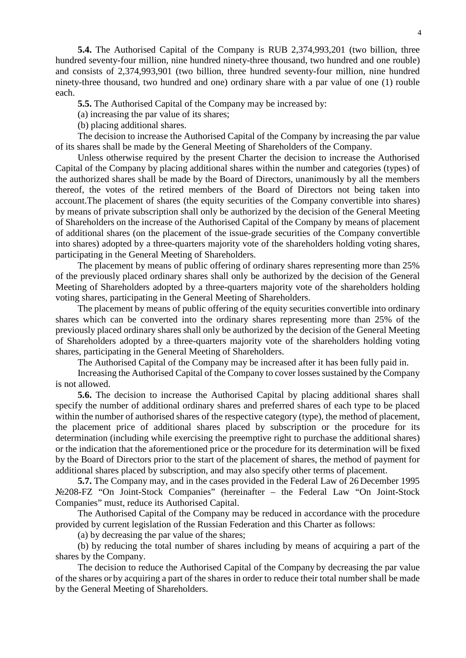**5.4.** The Authorised Capital of the Company is RUB 2,374,993,201 (two billion, three hundred seventy-four million, nine hundred ninety-three thousand, two hundred and one rouble) and consists of 2,374,993,901 (two billion, three hundred seventy-four million, nine hundred ninety-three thousand, two hundred and one) ordinary share with a par value of one (1) rouble each.

**5.5.** The Authorised Capital of the Company may be increased by:

(a) increasing the par value of its shares;

(b) placing additional shares.

The decision to increase the Authorised Capital of the Company by increasing the par value of its shares shall be made by the General Meeting of Shareholders of the Company.

Unless otherwise required by the present Charter the decision to increase the Authorised Capital of the Company by placing additional shares within the number and categories (types) of the authorized shares shall be made by the Board of Directors, unanimously by all the members thereof, the votes of the retired members of the Board of Directors not being taken into account.The placement of shares (the equity securities of the Company convertible into shares) by means of private subscription shall only be authorized by the decision of the General Meeting of Shareholders on the increase of the Authorised Capital of the Company by means of placement of additional shares (on the placement of the issue-grade securities of the Company convertible into shares) adopted by a three-quarters majority vote of the shareholders holding voting shares, participating in the General Meeting of Shareholders.

The placement by means of public offering of ordinary shares representing more than 25% of the previously placed ordinary shares shall only be authorized by the decision of the General Meeting of Shareholders adopted by a three-quarters majority vote of the shareholders holding voting shares, participating in the General Meeting of Shareholders.

The placement by means of public offering of the equity securities convertible into ordinary shares which can be converted into the ordinary shares representing more than 25% of the previously placed ordinary shares shall only be authorized by the decision of the General Meeting of Shareholders adopted by a three-quarters majority vote of the shareholders holding voting shares, participating in the General Meeting of Shareholders.

The Authorised Capital of the Company may be increased after it has been fully paid in.

Increasing the Authorised Capital of the Company to cover losses sustained by the Company is not allowed.

**5.6.** The decision to increase the Authorised Capital by placing additional shares shall specify the number of additional ordinary shares and preferred shares of each type to be placed within the number of authorised shares of the respective category (type), the method of placement, the placement price of additional shares placed by subscription or the procedure for its determination (including while exercising the preemptive right to purchase the additional shares) or the indication that the aforementioned price or the procedure for its determination will be fixed by the Board of Directors prior to the start of the placement of shares, the method of payment for additional shares placed by subscription, and may also specify other terms of placement.

**5.7.** The Company may, and in the cases provided in the Federal Law of 26 December 1995 №208-FZ "On Joint-Stock Companies" (hereinafter – the Federal Law "On Joint-Stock Companies" must, reduce its Authorised Capital.

The Authorised Capital of the Company may be reduced in accordance with the procedure provided by current legislation of the Russian Federation and this Charter as follows:

(a) by decreasing the par value of the shares;

(b) by reducing the total number of shares including by means of acquiring a part of the shares by the Company.

The decision to reduce the Authorised Capital of the Company by decreasing the par value of the shares or by acquiring a part of the shares in order to reduce their total number shall be made by the General Meeting of Shareholders.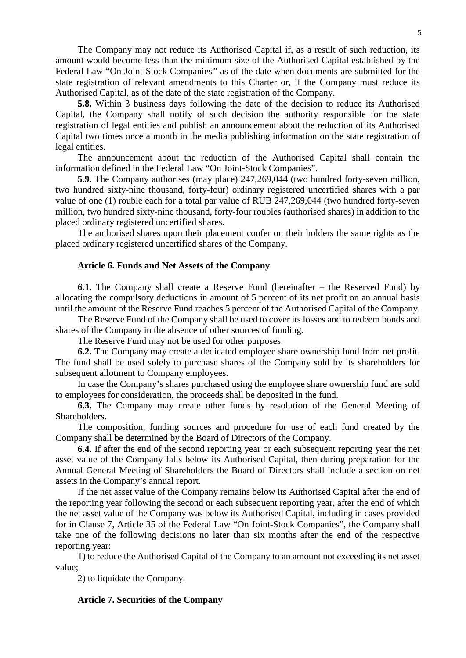The Company may not reduce its Authorised Capital if, as a result of such reduction, its amount would become less than the minimum size of the Authorised Capital established by the Federal Law "On Joint-Stock Companies*"* as of the date when documents are submitted for the state registration of relevant amendments to this Charter or, if the Company must reduce its Authorised Capital, as of the date of the state registration of the Company.

**5.8.** Within 3 business days following the date of the decision to reduce its Authorised Capital, the Company shall notify of such decision the authority responsible for the state registration of legal entities and publish an announcement about the reduction of its Authorised Capital two times once a month in the media publishing information on the state registration of legal entities.

The announcement about the reduction of the Authorised Capital shall contain the information defined in the Federal Law "On Joint-Stock Companies".

**5.9**. The Company authorises (may place) 247,269,044 (two hundred forty-seven million, two hundred sixty-nine thousand, forty-four) ordinary registered uncertified shares with a par value of one (1) rouble each for a total par value of RUB 247,269,044 (two hundred forty-seven million, two hundred sixty-nine thousand, forty-four roubles (authorised shares) in addition to the placed ordinary registered uncertified shares.

The authorised shares upon their placement confer on their holders the same rights as the placed ordinary registered uncertified shares of the Company.

### **Article 6. Funds and Net Assets of the Company**

**6.1.** The Company shall create a Reserve Fund (hereinafter – the Reserved Fund) by allocating the compulsory deductions in amount of 5 percent of its net profit on an annual basis until the amount of the Reserve Fund reaches 5 percent of the Authorised Capital of the Company.

The Reserve Fund of the Company shall be used to cover its losses and to redeem bonds and shares of the Company in the absence of other sources of funding.

The Reserve Fund may not be used for other purposes.

**6.2.** The Company may create a dedicated employee share ownership fund from net profit. The fund shall be used solely to purchase shares of the Company sold by its shareholders for subsequent allotment to Company employees.

In case the Company's shares purchased using the employee share ownership fund are sold to employees for consideration, the proceeds shall be deposited in the fund.

**6.3.** The Company may create other funds by resolution of the General Meeting of Shareholders.

The composition, funding sources and procedure for use of each fund created by the Company shall be determined by the Board of Directors of the Company.

**6.4.** If after the end of the second reporting year or each subsequent reporting year the net asset value of the Company falls below its Authorised Capital, then during preparation for the Annual General Meeting of Shareholders the Board of Directors shall include a section on net assets in the Company's annual report.

If the net asset value of the Company remains below its Authorised Capital after the end of the reporting year following the second or each subsequent reporting year, after the end of which the net asset value of the Company was below its Authorised Capital, including in cases provided for in Clause 7, Article 35 of the Federal Law "On Joint-Stock Companies", the Company shall take one of the following decisions no later than six months after the end of the respective reporting year:

1) to reduce the Authorised Capital of the Company to an amount not exceeding its net asset value;

2) to liquidate the Company.

### **Article 7. Securities of the Company**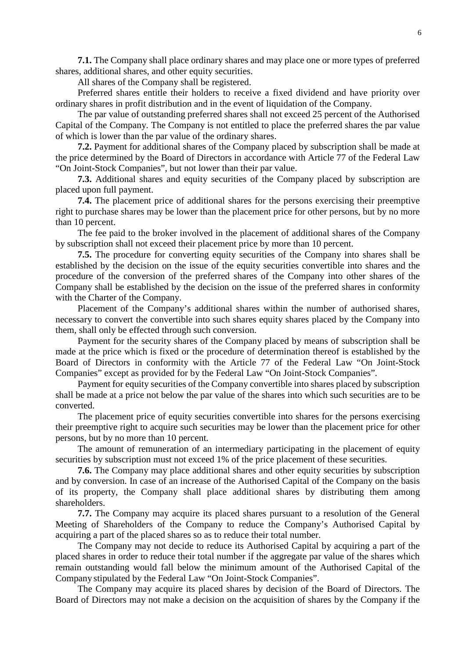**7.1.** The Company shall place ordinary shares and may place one or more types of preferred shares, additional shares, and other equity securities.

All shares of the Company shall be registered.

Preferred shares entitle their holders to receive a fixed dividend and have priority over ordinary shares in profit distribution and in the event of liquidation of the Company.

The par value of outstanding preferred shares shall not exceed 25 percent of the Authorised Capital of the Company. The Company is not entitled to place the preferred shares the par value of which is lower than the par value of the ordinary shares.

**7.2.** Payment for additional shares of the Company placed by subscription shall be made at the price determined by the Board of Directors in accordance with Article 77 of the Federal Law "On Joint-Stock Companies", but not lower than their par value.

**7.3.** Additional shares and equity securities of the Company placed by subscription are placed upon full payment.

**7.4.** The placement price of additional shares for the persons exercising their preemptive right to purchase shares may be lower than the placement price for other persons, but by no more than 10 percent.

The fee paid to the broker involved in the placement of additional shares of the Company by subscription shall not exceed their placement price by more than 10 percent.

**7.5.** The procedure for converting equity securities of the Company into shares shall be established by the decision on the issue of the equity securities convertible into shares and the procedure of the conversion of the preferred shares of the Company into other shares of the Company shall be established by the decision on the issue of the preferred shares in conformity with the Charter of the Company.

Placement of the Company's additional shares within the number of authorised shares, necessary to convert the convertible into such shares equity shares placed by the Company into them, shall only be effected through such conversion.

Payment for the security shares of the Company placed by means of subscription shall be made at the price which is fixed or the procedure of determination thereof is established by the Board of Directors in conformity with the Article 77 of the Federal Law "On Joint-Stock Companies" except as provided for by the Federal Law "On Joint-Stock Companies".

Payment for equity securities of the Company convertible into shares placed by subscription shall be made at a price not below the par value of the shares into which such securities are to be converted.

The placement price of equity securities convertible into shares for the persons exercising their preemptive right to acquire such securities may be lower than the placement price for other persons, but by no more than 10 percent.

The amount of remuneration of an intermediary participating in the placement of equity securities by subscription must not exceed 1% of the price placement of these securities.

**7.6.** The Company may place additional shares and other equity securities by subscription and by conversion. In case of an increase of the Authorised Capital of the Company on the basis of its property, the Company shall place additional shares by distributing them among shareholders.

**7.7.** The Company may acquire its placed shares pursuant to a resolution of the General Meeting of Shareholders of the Company to reduce the Company's Authorised Capital by acquiring a part of the placed shares so as to reduce their total number.

The Company may not decide to reduce its Authorised Capital by acquiring a part of the placed shares in order to reduce their total number if the aggregate par value of the shares which remain outstanding would fall below the minimum amount of the Authorised Capital of the Company stipulated by the Federal Law "On Joint-Stock Companies".

The Company may acquire its placed shares by decision of the Board of Directors. The Board of Directors may not make a decision on the acquisition of shares by the Company if the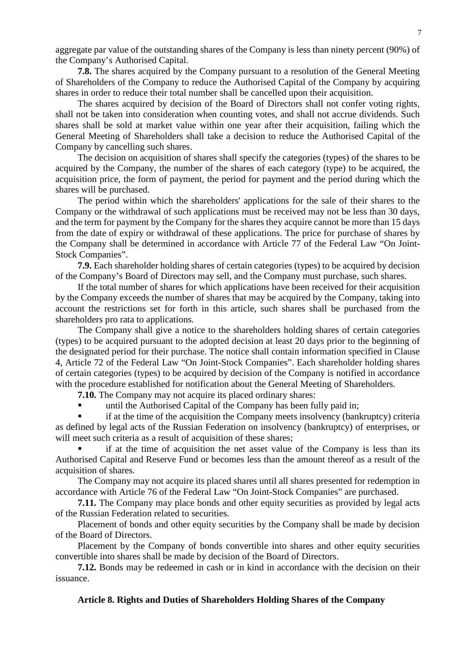aggregate par value of the outstanding shares of the Company is less than ninety percent (90%) of the Company's Authorised Capital.

**7.8.** The shares acquired by the Company pursuant to a resolution of the General Meeting of Shareholders of the Company to reduce the Authorised Capital of the Company by acquiring shares in order to reduce their total number shall be cancelled upon their acquisition.

The shares acquired by decision of the Board of Directors shall not confer voting rights, shall not be taken into consideration when counting votes, and shall not accrue dividends. Such shares shall be sold at market value within one year after their acquisition, failing which the General Meeting of Shareholders shall take a decision to reduce the Authorised Capital of the Company by cancelling such shares.

The decision on acquisition of shares shall specify the categories (types) of the shares to be acquired by the Company, the number of the shares of each category (type) to be acquired, the acquisition price, the form of payment, the period for payment and the period during which the shares will be purchased.

The period within which the shareholders' applications for the sale of their shares to the Company or the withdrawal of such applications must be received may not be less than 30 days, and the term for payment by the Company for the shares they acquire cannot be more than 15 days from the date of expiry or withdrawal of these applications. The price for purchase of shares by the Company shall be determined in accordance with Article 77 of the Federal Law "On Joint-Stock Companies".

**7.9.** Each shareholder holding shares of certain categories (types) to be acquired by decision of the Company's Board of Directors may sell, and the Company must purchase, such shares.

If the total number of shares for which applications have been received for their acquisition by the Company exceeds the number of shares that may be acquired by the Company, taking into account the restrictions set for forth in this article, such shares shall be purchased from the shareholders pro rata to applications.

The Company shall give a notice to the shareholders holding shares of certain categories (types) to be acquired pursuant to the adopted decision at least 20 days prior to the beginning of the designated period for their purchase. The notice shall contain information specified in Clause 4, Article 72 of the Federal Law "On Joint-Stock Companies". Each shareholder holding shares of certain categories (types) to be acquired by decision of the Company is notified in accordance with the procedure established for notification about the General Meeting of Shareholders.

**7.10.** The Company may not acquire its placed ordinary shares:

**until the Authorised Capital of the Company has been fully paid in;** 

 if at the time of the acquisition the Company meets insolvency (bankruptcy) criteria as defined by legal acts of the Russian Federation on insolvency (bankruptcy) of enterprises, or will meet such criteria as a result of acquisition of these shares;

 if at the time of acquisition the net asset value of the Company is less than its Authorised Capital and Reserve Fund or becomes less than the amount thereof as a result of the acquisition of shares.

The Company may not acquire its placed shares until all shares presented for redemption in accordance with Article 76 of the Federal Law "On Joint-Stock Companies" are purchased.

**7.11.** The Company may place bonds and other equity securities as provided by legal acts of the Russian Federation related to securities.

Placement of bonds and other equity securities by the Company shall be made by decision of the Board of Directors.

Placement by the Company of bonds convertible into shares and other equity securities convertible into shares shall be made by decision of the Board of Directors.

**7.12.** Bonds may be redeemed in cash or in kind in accordance with the decision on their issuance.

## **Article 8. Rights and Duties of Shareholders Holding Shares of the Company**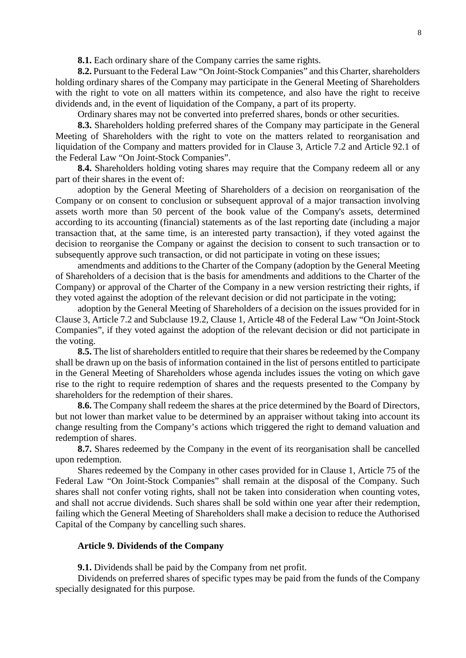**8.1.** Each ordinary share of the Company carries the same rights.

**8.2.** Pursuant to the Federal Law "On Joint-Stock Companies" and this Charter, shareholders holding ordinary shares of the Company may participate in the General Meeting of Shareholders with the right to vote on all matters within its competence, and also have the right to receive dividends and, in the event of liquidation of the Company, a part of its property.

Ordinary shares may not be converted into preferred shares, bonds or other securities.

**8.3.** Shareholders holding preferred shares of the Company may participate in the General Meeting of Shareholders with the right to vote on the matters related to reorganisation and liquidation of the Company and matters provided for in Clause 3, Article 7.2 and Article 92.1 of the Federal Law "On Joint-Stock Companies".

**8.4.** Shareholders holding voting shares may require that the Company redeem all or any part of their shares in the event of:

adoption by the General Meeting of Shareholders of a decision on reorganisation of the Company or on consent to conclusion or subsequent approval of a major transaction involving assets worth more than 50 percent of the book value of the Company's assets, determined according to its accounting (financial) statements as of the last reporting date (including a major transaction that, at the same time, is an interested party transaction), if they voted against the decision to reorganise the Company or against the decision to consent to such transaction or to subsequently approve such transaction, or did not participate in voting on these issues;

amendments and additions to the Charter of the Company (adoption by the General Meeting of Shareholders of a decision that is the basis for amendments and additions to the Charter of the Company) or approval of the Charter of the Company in a new version restricting their rights, if they voted against the adoption of the relevant decision or did not participate in the voting;

adoption by the General Meeting of Shareholders of a decision on the issues provided for in Clause 3, Article 7.2 and Subclause 19.2, Clause 1, Article 48 of the Federal Law "On Joint-Stock Companies", if they voted against the adoption of the relevant decision or did not participate in the voting.

**8.5.** The list of shareholders entitled to require that their shares be redeemed by the Company shall be drawn up on the basis of information contained in the list of persons entitled to participate in the General Meeting of Shareholders whose agenda includes issues the voting on which gave rise to the right to require redemption of shares and the requests presented to the Company by shareholders for the redemption of their shares.

**8.6.** The Company shall redeem the shares at the price determined by the Board of Directors, but not lower than market value to be determined by an appraiser without taking into account its change resulting from the Company's actions which triggered the right to demand valuation and redemption of shares.

**8.7.** Shares redeemed by the Company in the event of its reorganisation shall be cancelled upon redemption.

Shares redeemed by the Company in other cases provided for in Clause 1, Article 75 of the Federal Law "On Joint-Stock Companies" shall remain at the disposal of the Company. Such shares shall not confer voting rights, shall not be taken into consideration when counting votes, and shall not accrue dividends. Such shares shall be sold within one year after their redemption, failing which the General Meeting of Shareholders shall make a decision to reduce the Authorised Capital of the Company by cancelling such shares.

#### **Article 9. Dividends of the Company**

**9.1.** Dividends shall be paid by the Company from net profit.

Dividends on preferred shares of specific types may be paid from the funds of the Company specially designated for this purpose.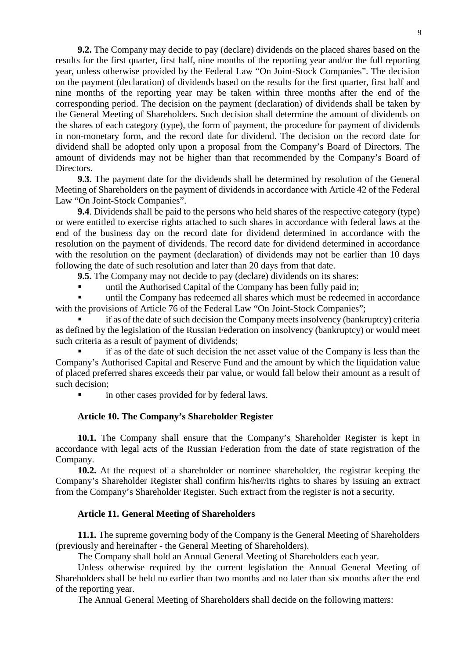**9.2.** The Company may decide to pay (declare) dividends on the placed shares based on the results for the first quarter, first half, nine months of the reporting year and/or the full reporting year, unless otherwise provided by the Federal Law "On Joint-Stock Companies". The decision on the payment (declaration) of dividends based on the results for the first quarter, first half and nine months of the reporting year may be taken within three months after the end of the corresponding period. The decision on the payment (declaration) of dividends shall be taken by the General Meeting of Shareholders. Such decision shall determine the amount of dividends on the shares of each category (type), the form of payment, the procedure for payment of dividends in non-monetary form, and the record date for dividend. The decision on the record date for dividend shall be adopted only upon a proposal from the Company's Board of Directors. The amount of dividends may not be higher than that recommended by the Company's Board of Directors.

**9.3.** The payment date for the dividends shall be determined by resolution of the General Meeting of Shareholders on the payment of dividends in accordance with Article 42 of the Federal Law "On Joint-Stock Companies".

**9.4**. Dividends shall be paid to the persons who held shares of the respective category (type) or were entitled to exercise rights attached to such shares in accordance with federal laws at the end of the business day on the record date for dividend determined in accordance with the resolution on the payment of dividends. The record date for dividend determined in accordance with the resolution on the payment (declaration) of dividends may not be earlier than 10 days following the date of such resolution and later than 20 days from that date.

**9.5.** The Company may not decide to pay (declare) dividends on its shares:

until the Authorised Capital of the Company has been fully paid in;

 until the Company has redeemed all shares which must be redeemed in accordance with the provisions of Article 76 of the Federal Law "On Joint-Stock Companies";

 if as of the date of such decision the Company meets insolvency (bankruptcy) criteria as defined by the legislation of the Russian Federation on insolvency (bankruptcy) or would meet such criteria as a result of payment of dividends;

 if as of the date of such decision the net asset value of the Company is less than the Company's Authorised Capital and Reserve Fund and the amount by which the liquidation value of placed preferred shares exceeds their par value, or would fall below their amount as a result of such decision;

in other cases provided for by federal laws.

### **Article 10. The Company's Shareholder Register**

**10.1.** The Company shall ensure that the Company's Shareholder Register is kept in accordance with legal acts of the Russian Federation from the date of state registration of the Company.

**10.2.** At the request of a shareholder or nominee shareholder, the registrar keeping the Company's Shareholder Register shall confirm his/her/its rights to shares by issuing an extract from the Company's Shareholder Register. Such extract from the register is not a security.

### **Article 11. General Meeting of Shareholders**

**11.1.** The supreme governing body of the Company is the General Meeting of Shareholders (previously and hereinafter - the General Meeting of Shareholders).

The Company shall hold an Annual General Meeting of Shareholders each year.

Unless otherwise required by the current legislation the Annual General Meeting of Shareholders shall be held no earlier than two months and no later than six months after the end of the reporting year.

The Annual General Meeting of Shareholders shall decide on the following matters: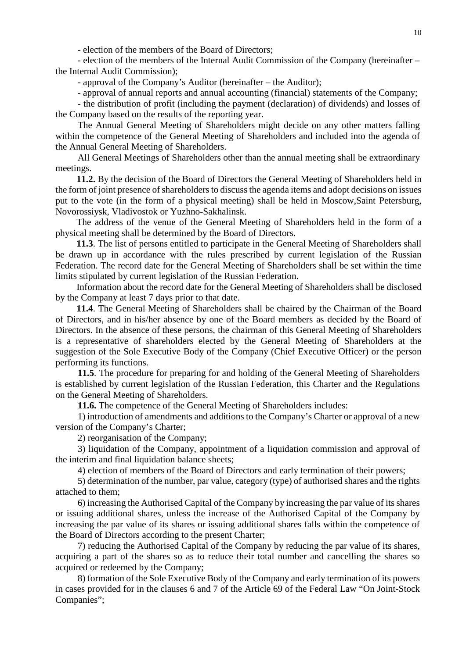- election of the members of the Board of Directors;

- election of the members of the Internal Audit Commission of the Company (hereinafter – the Internal Audit Commission);

- approval of the Company's Auditor (hereinafter – the Auditor);

- approval of annual reports and annual accounting (financial) statements of the Company;

- the distribution of profit (including the payment (declaration) of dividends) and losses of the Company based on the results of the reporting year.

The Annual General Meeting of Shareholders might decide on any other matters falling within the competence of the General Meeting of Shareholders and included into the agenda of the Annual General Meeting of Shareholders.

All General Meetings of Shareholders other than the annual meeting shall be extraordinary meetings.

**11.2.** By the decision of the Board of Directors the General Meeting of Shareholders held in the form of joint presence of shareholders to discuss the agenda items and adopt decisions on issues put to the vote (in the form of a physical meeting) shall be held in Moscow,Saint Petersburg, Novorossiysk, Vladivostok or Yuzhno-Sakhalinsk.

The address of the venue of the General Meeting of Shareholders held in the form of a physical meeting shall be determined by the Board of Directors.

**11.3**. The list of persons entitled to participate in the General Meeting of Shareholders shall be drawn up in accordance with the rules prescribed by current legislation of the Russian Federation. The record date for the General Meeting of Shareholders shall be set within the time limits stipulated by current legislation of the Russian Federation.

Information about the record date for the General Meeting of Shareholders shall be disclosed by the Company at least 7 days prior to that date.

**11.4**. The General Meeting of Shareholders shall be chaired by the Chairman of the Board of Directors, and in his/her absence by one of the Board members as decided by the Board of Directors. In the absence of these persons, the chairman of this General Meeting of Shareholders is a representative of shareholders elected by the General Meeting of Shareholders at the suggestion of the Sole Executive Body of the Company (Chief Executive Officer) or the person performing its functions.

**11.5**. The procedure for preparing for and holding of the General Meeting of Shareholders is established by current legislation of the Russian Federation, this Charter and the Regulations on the General Meeting of Shareholders.

**11.6.** The competence of the General Meeting of Shareholders includes:

1) introduction of amendments and additions to the Company's Charter or approval of a new version of the Company's Charter;

2) reorganisation of the Company;

3) liquidation of the Company, appointment of a liquidation commission and approval of the interim and final liquidation balance sheets;

4) election of members of the Board of Directors and early termination of their powers;

5) determination of the number, par value, category (type) of authorised shares and the rights attached to them;

6) increasing the Authorised Capital of the Company by increasing the par value of its shares or issuing additional shares, unless the increase of the Authorised Capital of the Company by increasing the par value of its shares or issuing additional shares falls within the competence of the Board of Directors according to the present Charter;

7) reducing the Authorised Capital of the Company by reducing the par value of its shares, acquiring a part of the shares so as to reduce their total number and cancelling the shares so acquired or redeemed by the Company;

8) formation of the Sole Executive Body of the Company and early termination of its powers in cases provided for in the clauses 6 and 7 of the Article 69 of the Federal Law "On Joint-Stock Companies";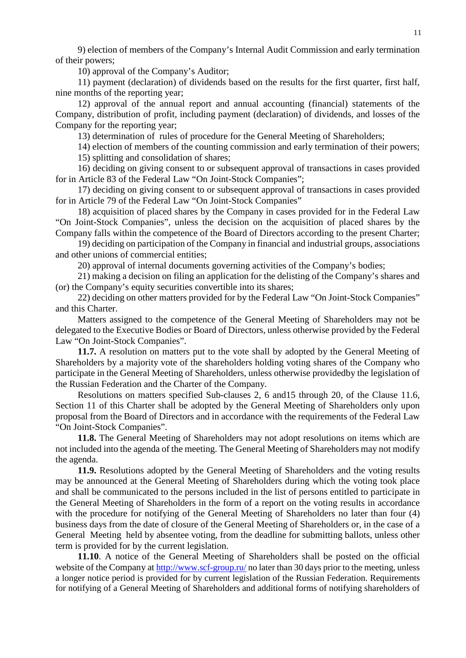9) election of members of the Company's Internal Audit Commission and early termination of their powers;

10) approval of the Company's Auditor;

11) payment (declaration) of dividends based on the results for the first quarter, first half, nine months of the reporting year;

12) approval of the annual report and annual accounting (financial) statements of the Company, distribution of profit, including payment (declaration) of dividends, and losses of the Company for the reporting year;

13) determination of rules of procedure for the General Meeting of Shareholders;

14) election of members of the counting commission and early termination of their powers; 15) splitting and consolidation of shares;

16) deciding on giving consent to or subsequent approval of transactions in cases provided for in Article 83 of the Federal Law "On Joint-Stock Companies";

17) deciding on giving consent to or subsequent approval of transactions in cases provided for in Article 79 of the Federal Law "On Joint-Stock Companies"

18) acquisition of placed shares by the Company in cases provided for in the Federal Law "On Joint-Stock Companies", unless the decision on the acquisition of placed shares by the Company falls within the competence of the Board of Directors according to the present Charter;

19) deciding on participation of the Company in financial and industrial groups, associations and other unions of commercial entities;

20) approval of internal documents governing activities of the Company's bodies;

21) making a decision on filing an application for the delisting of the Company's shares and (or) the Company's equity securities convertible into its shares;

22) deciding on other matters provided for by the Federal Law "On Joint-Stock Companies" and this Charter.

Matters assigned to the competence of the General Meeting of Shareholders may not be delegated to the Executive Bodies or Board of Directors, unless otherwise provided by the Federal Law "On Joint-Stock Companies".

**11.7.** A resolution on matters put to the vote shall by adopted by the General Meeting of Shareholders by a majority vote of the shareholders holding voting shares of the Company who participate in the General Meeting of Shareholders, unless otherwise providedby the legislation of the Russian Federation and the Charter of the Company.

Resolutions on matters specified Sub-clauses 2, 6 and15 through 20, of the Clause 11.6, Section 11 of this Charter shall be adopted by the General Meeting of Shareholders only upon proposal from the Board of Directors and in accordance with the requirements of the Federal Law "On Joint-Stock Companies".

**11.8.** The General Meeting of Shareholders may not adopt resolutions on items which are not included into the agenda of the meeting. The General Meeting of Shareholders may not modify the agenda.

**11.9.** Resolutions adopted by the General Meeting of Shareholders and the voting results may be announced at the General Meeting of Shareholders during which the voting took place and shall be communicated to the persons included in the list of persons entitled to participate in the General Meeting of Shareholders in the form of a report on the voting results in accordance with the procedure for notifying of the General Meeting of Shareholders no later than four (4) business days from the date of closure of the General Meeting of Shareholders or, in the case of a General Meeting held by absentee voting, from the deadline for submitting ballots, unless other term is provided for by the current legislation.

**11.10**. A notice of the General Meeting of Shareholders shall be posted on the official website of the Company at<http://www.scf-group.ru/> no later than 30 days prior to the meeting, unless a longer notice period is provided for by current legislation of the Russian Federation. Requirements for notifying of a General Meeting of Shareholders and additional forms of notifying shareholders of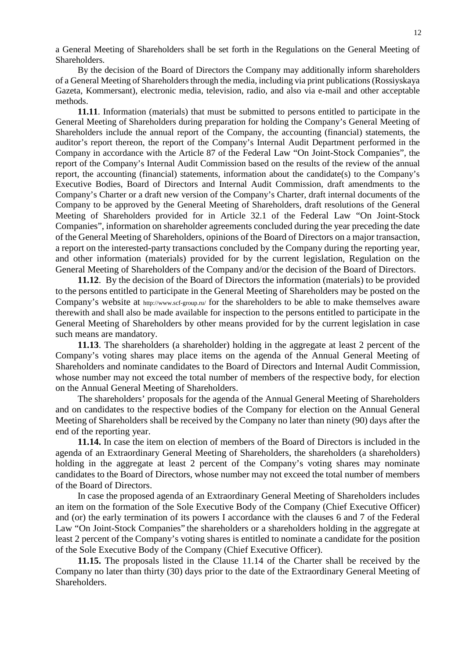a General Meeting of Shareholders shall be set forth in the Regulations on the General Meeting of Shareholders.

By the decision of the Board of Directors the Company may additionally inform shareholders of a General Meeting of Shareholders through the media, including via print publications (Rossiyskaya Gazeta, Kommersant), electronic media, television, radio, and also via e-mail and other acceptable methods.

**11.11**. Information (materials) that must be submitted to persons entitled to participate in the General Meeting of Shareholders during preparation for holding the Company's General Meeting of Shareholders include the annual report of the Company, the accounting (financial) statements, the auditor's report thereon, the report of the Company's Internal Audit Department performed in the Company in accordance with the Article 87 of the Federal Law "On Joint-Stock Companies", the report of the Company's Internal Audit Commission based on the results of the review of the annual report, the accounting (financial) statements, information about the candidate(s) to the Company's Executive Bodies, Board of Directors and Internal Audit Commission, draft amendments to the Company's Charter or a draft new version of the Company's Charter, draft internal documents of the Company to be approved by the General Meeting of Shareholders, draft resolutions of the General Meeting of Shareholders provided for in Article 32.1 of the Federal Law "On Joint-Stock Companies", information on shareholder agreements concluded during the year preceding the date of the General Meeting of Shareholders, opinions of the Board of Directors on a major transaction, a report on the interested-party transactions concluded by the Company during the reporting year, and other information (materials) provided for by the current legislation, Regulation on the General Meeting of Shareholders of the Company and/or the decision of the Board of Directors.

**11.12**. By the decision of the Board of Directors the information (materials) to be provided to the persons entitled to participate in the General Meeting of Shareholders may be posted on the Company's website at http://www.scf-group.ru/ for the shareholders to be able to make themselves aware therewith and shall also be made available for inspection to the persons entitled to participate in the General Meeting of Shareholders by other means provided for by the current legislation in case such means are mandatory.

**11.13**. The shareholders (a shareholder) holding in the aggregate at least 2 percent of the Company's voting shares may place items on the agenda of the Annual General Meeting of Shareholders and nominate candidates to the Board of Directors and Internal Audit Commission, whose number may not exceed the total number of members of the respective body, for election on the Annual General Meeting of Shareholders.

The shareholders' proposals for the agenda of the Annual General Meeting of Shareholders and on candidates to the respective bodies of the Company for election on the Annual General Meeting of Shareholders shall be received by the Company no later than ninety (90) days after the end of the reporting year.

**11.14.** In case the item on election of members of the Board of Directors is included in the agenda of an Extraordinary General Meeting of Shareholders, the shareholders (a shareholders) holding in the aggregate at least 2 percent of the Company's voting shares may nominate candidates to the Board of Directors, whose number may not exceed the total number of members of the Board of Directors.

In case the proposed agenda of an Extraordinary General Meeting of Shareholders includes an item on the formation of the Sole Executive Body of the Company (Chief Executive Officer) and (or) the early termination of its powers I accordance with the clauses 6 and 7 of the Federal Law "On Joint-Stock Companies" the shareholders or a shareholders holding in the aggregate at least 2 percent of the Company's voting shares is entitled to nominate a candidate for the position of the Sole Executive Body of the Company (Chief Executive Officer).

**11.15.** The proposals listed in the Clause 11.14 of the Charter shall be received by the Company no later than thirty (30) days prior to the date of the Extraordinary General Meeting of Shareholders.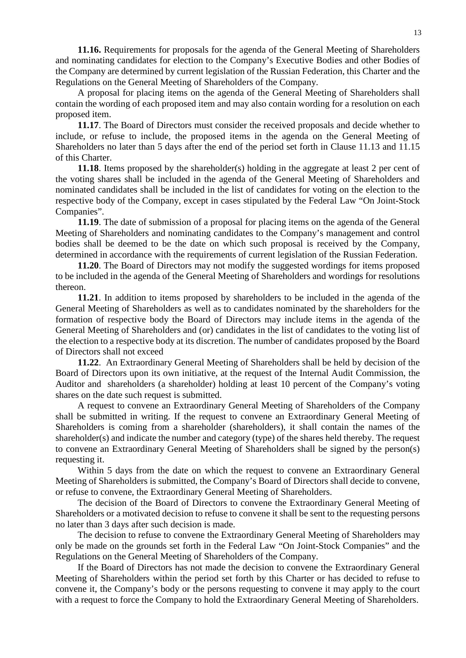**11.16.** Requirements for proposals for the agenda of the General Meeting of Shareholders and nominating candidates for election to the Company's Executive Bodies and other Bodies of the Company are determined by current legislation of the Russian Federation, this Charter and the Regulations on the General Meeting of Shareholders of the Company.

A proposal for placing items on the agenda of the General Meeting of Shareholders shall contain the wording of each proposed item and may also contain wording for a resolution on each proposed item.

**11.17**. The Board of Directors must consider the received proposals and decide whether to include, or refuse to include, the proposed items in the agenda on the General Meeting of Shareholders no later than 5 days after the end of the period set forth in Clause 11.13 and 11.15 of this Charter.

**11.18**. Items proposed by the shareholder(s) holding in the aggregate at least 2 per cent of the voting shares shall be included in the agenda of the General Meeting of Shareholders and nominated candidates shall be included in the list of candidates for voting on the election to the respective body of the Company, except in cases stipulated by the Federal Law "On Joint-Stock Companies".

**11.19**. The date of submission of a proposal for placing items on the agenda of the General Meeting of Shareholders and nominating candidates to the Company's management and control bodies shall be deemed to be the date on which such proposal is received by the Company, determined in accordance with the requirements of current legislation of the Russian Federation.

**11.20**. The Board of Directors may not modify the suggested wordings for items proposed to be included in the agenda of the General Meeting of Shareholders and wordings for resolutions thereon.

**11.21**. In addition to items proposed by shareholders to be included in the agenda of the General Meeting of Shareholders as well as to candidates nominated by the shareholders for the formation of respective body the Board of Directors may include items in the agenda of the General Meeting of Shareholders and (or) candidates in the list of candidates to the voting list of the election to a respective body at its discretion. The number of candidates proposed by the Board of Directors shall not exceed

**11.22**. An Extraordinary General Meeting of Shareholders shall be held by decision of the Board of Directors upon its own initiative, at the request of the Internal Audit Commission, the Auditor and shareholders (a shareholder) holding at least 10 percent of the Company's voting shares on the date such request is submitted.

A request to convene an Extraordinary General Meeting of Shareholders of the Company shall be submitted in writing. If the request to convene an Extraordinary General Meeting of Shareholders is coming from a shareholder (shareholders), it shall contain the names of the shareholder(s) and indicate the number and category (type) of the shares held thereby. The request to convene an Extraordinary General Meeting of Shareholders shall be signed by the person(s) requesting it.

Within 5 days from the date on which the request to convene an Extraordinary General Meeting of Shareholders is submitted, the Company's Board of Directors shall decide to convene, or refuse to convene, the Extraordinary General Meeting of Shareholders.

The decision of the Board of Directors to convene the Extraordinary General Meeting of Shareholders or a motivated decision to refuse to convene it shall be sent to the requesting persons no later than 3 days after such decision is made.

The decision to refuse to convene the Extraordinary General Meeting of Shareholders may only be made on the grounds set forth in the Federal Law "On Joint-Stock Companies" and the Regulations on the General Meeting of Shareholders of the Company.

If the Board of Directors has not made the decision to convene the Extraordinary General Meeting of Shareholders within the period set forth by this Charter or has decided to refuse to convene it, the Company's body or the persons requesting to convene it may apply to the court with a request to force the Company to hold the Extraordinary General Meeting of Shareholders.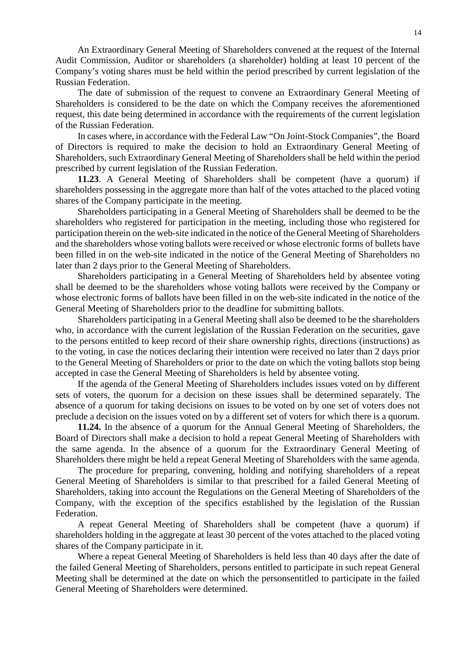An Extraordinary General Meeting of Shareholders convened at the request of the Internal Audit Commission, Auditor or shareholders (a shareholder) holding at least 10 percent of the Company's voting shares must be held within the period prescribed by current legislation of the Russian Federation.

The date of submission of the request to convene an Extraordinary General Meeting of Shareholders is considered to be the date on which the Company receives the aforementioned request, this date being determined in accordance with the requirements of the current legislation of the Russian Federation.

In cases where, in accordance with the Federal Law "On Joint-Stock Companies", the Board of Directors is required to make the decision to hold an Extraordinary General Meeting of Shareholders, such Extraordinary General Meeting of Shareholders shall be held within the period prescribed by current legislation of the Russian Federation.

**11.23**. A General Meeting of Shareholders shall be competent (have a quorum) if shareholders possessing in the aggregate more than half of the votes attached to the placed voting shares of the Company participate in the meeting.

Shareholders participating in a General Meeting of Shareholders shall be deemed to be the shareholders who registered for participation in the meeting, including those who registered for participation therein on the web-site indicated in the notice of the General Meeting of Shareholders and the shareholders whose voting ballots were received or whose electronic forms of bullets have been filled in on the web-site indicated in the notice of the General Meeting of Shareholders no later than 2 days prior to the General Meeting of Shareholders.

Shareholders participating in a General Meeting of Shareholders held by absentee voting shall be deemed to be the shareholders whose voting ballots were received by the Company or whose electronic forms of ballots have been filled in on the web-site indicated in the notice of the General Meeting of Shareholders prior to the deadline for submitting ballots.

Shareholders participating in a General Meeting shall also be deemed to be the shareholders who, in accordance with the current legislation of the Russian Federation on the securities, gave to the persons entitled to keep record of their share ownership rights, directions (instructions) as to the voting, in case the notices declaring their intention were received no later than 2 days prior to the General Meeting of Shareholders or prior to the date on which the voting ballots stop being accepted in case the General Meeting of Shareholders is held by absentee voting.

If the agenda of the General Meeting of Shareholders includes issues voted on by different sets of voters, the quorum for a decision on these issues shall be determined separately. The absence of a quorum for taking decisions on issues to be voted on by one set of voters does not preclude a decision on the issues voted on by a different set of voters for which there is a quorum.

**11.24.** In the absence of a quorum for the Annual General Meeting of Shareholders, the Board of Directors shall make a decision to hold a repeat General Meeting of Shareholders with the same agenda. In the absence of a quorum for the Extraordinary General Meeting of Shareholders there might be held a repeat General Meeting of Shareholders with the same agenda.

The procedure for preparing, convening, holding and notifying shareholders of a repeat General Meeting of Shareholders is similar to that prescribed for a failed General Meeting of Shareholders, taking into account the Regulations on the General Meeting of Shareholders of the Company, with the exception of the specifics established by the legislation of the Russian Federation.

A repeat General Meeting of Shareholders shall be competent (have a quorum) if shareholders holding in the aggregate at least 30 percent of the votes attached to the placed voting shares of the Company participate in it.

Where a repeat General Meeting of Shareholders is held less than 40 days after the date of the failed General Meeting of Shareholders, persons entitled to participate in such repeat General Meeting shall be determined at the date on which the personsentitled to participate in the failed General Meeting of Shareholders were determined.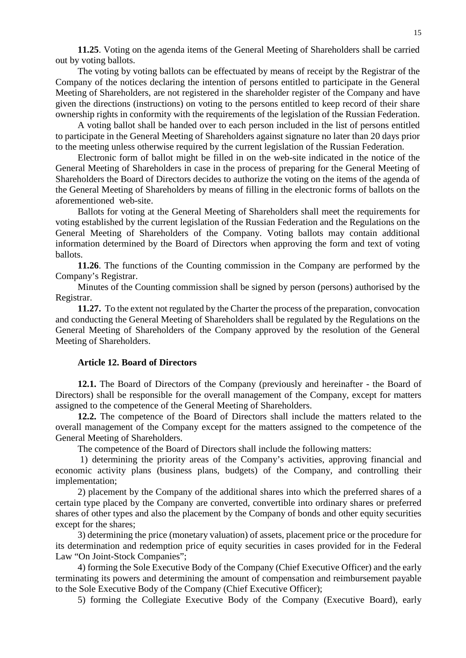**11.25**. Voting on the agenda items of the General Meeting of Shareholders shall be carried out by voting ballots.

The voting by voting ballots can be effectuated by means of receipt by the Registrar of the Company of the notices declaring the intention of persons entitled to participate in the General Meeting of Shareholders, are not registered in the shareholder register of the Company and have given the directions (instructions) on voting to the persons entitled to keep record of their share ownership rights in conformity with the requirements of the legislation of the Russian Federation.

A voting ballot shall be handed over to each person included in the list of persons entitled to participate in the General Meeting of Shareholders against signature no later than 20 days prior to the meeting unless otherwise required by the current legislation of the Russian Federation.

Electronic form of ballot might be filled in on the web-site indicated in the notice of the General Meeting of Shareholders in case in the process of preparing for the General Meeting of Shareholders the Board of Directors decides to authorize the voting on the items of the agenda of the General Meeting of Shareholders by means of filling in the electronic forms of ballots on the aforementioned web-site.

Ballots for voting at the General Meeting of Shareholders shall meet the requirements for voting established by the current legislation of the Russian Federation and the Regulations on the General Meeting of Shareholders of the Company. Voting ballots may contain additional information determined by the Board of Directors when approving the form and text of voting ballots.

**11.26**. The functions of the Counting commission in the Company are performed by the Company's Registrar.

Minutes of the Counting commission shall be signed by person (persons) authorised by the Registrar.

**11.27.** To the extent not regulated by the Charter the process of the preparation, convocation and conducting the General Meeting of Shareholders shall be regulated by the Regulations on the General Meeting of Shareholders of the Company approved by the resolution of the General Meeting of Shareholders.

### **Article 12. Board of Directors**

**12.1.** The Board of Directors of the Company (previously and hereinafter - the Board of Directors) shall be responsible for the overall management of the Company, except for matters assigned to the competence of the General Meeting of Shareholders.

**12.2.** The competence of the Board of Directors shall include the matters related to the overall management of the Company except for the matters assigned to the competence of the General Meeting of Shareholders.

The competence of the Board of Directors shall include the following matters:

1) determining the priority areas of the Company's activities, approving financial and economic activity plans (business plans, budgets) of the Company, and controlling their implementation;

2) placement by the Company of the additional shares into which the preferred shares of a certain type placed by the Company are converted, convertible into ordinary shares or preferred shares of other types and also the placement by the Company of bonds and other equity securities except for the shares;

3) determining the price (monetary valuation) of assets, placement price or the procedure for its determination and redemption price of equity securities in cases provided for in the Federal Law "On Joint-Stock Companies";

4) forming the Sole Executive Body of the Company (Chief Executive Officer) and the early terminating its powers and determining the amount of compensation and reimbursement payable to the Sole Executive Body of the Company (Chief Executive Officer);

5) forming the Collegiate Executive Body of the Company (Executive Board), early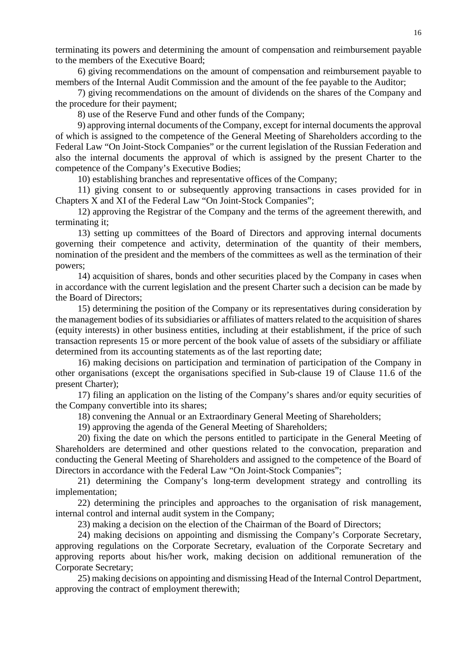terminating its powers and determining the amount of compensation and reimbursement payable to the members of the Executive Board;

6) giving recommendations on the amount of compensation and reimbursement payable to members of the Internal Audit Commission and the amount of the fee payable to the Auditor;

7) giving recommendations on the amount of dividends on the shares of the Company and the procedure for their payment;

8) use of the Reserve Fund and other funds of the Company;

9) approving internal documents of the Company, except for internal documents the approval of which is assigned to the competence of the General Meeting of Shareholders according to the Federal Law "On Joint-Stock Companies" or the current legislation of the Russian Federation and also the internal documents the approval of which is assigned by the present Charter to the competence of the Company's Executive Bodies;

10) establishing branches and representative offices of the Company;

11) giving consent to or subsequently approving transactions in cases provided for in Chapters X and XI of the Federal Law "On Joint-Stock Companies";

12) approving the Registrar of the Company and the terms of the agreement therewith, and terminating it;

13) setting up committees of the Board of Directors and approving internal documents governing their competence and activity, determination of the quantity of their members, nomination of the president and the members of the committees as well as the termination of their powers;

14) acquisition of shares, bonds and other securities placed by the Company in cases when in accordance with the current legislation and the present Charter such a decision can be made by the Board of Directors;

15) determining the position of the Company or its representatives during consideration by the management bodies of its subsidiaries or affiliates of matters related to the acquisition of shares (equity interests) in other business entities, including at their establishment, if the price of such transaction represents 15 or more percent of the book value of assets of the subsidiary or affiliate determined from its accounting statements as of the last reporting date;

16) making decisions on participation and termination of participation of the Company in other organisations (except the organisations specified in Sub-clause 19 of Clause 11.6 of the present Charter);

17) filing an application on the listing of the Company's shares and/or equity securities of the Company convertible into its shares;

18) convening the Annual or an Extraordinary General Meeting of Shareholders;

19) approving the agenda of the General Meeting of Shareholders;

20) fixing the date on which the persons entitled to participate in the General Meeting of Shareholders are determined and other questions related to the convocation, preparation and conducting the General Meeting of Shareholders and assigned to the competence of the Board of Directors in accordance with the Federal Law "On Joint-Stock Companies";

21) determining the Company's long-term development strategy and controlling its implementation;

22) determining the principles and approaches to the organisation of risk management, internal control and internal audit system in the Company;

23) making a decision on the election of the Chairman of the Board of Directors;

24) making decisions on appointing and dismissing the Company's Corporate Secretary, approving regulations on the Corporate Secretary, evaluation of the Corporate Secretary and approving reports about his/her work, making decision on additional remuneration of the Corporate Secretary;

25) making decisions on appointing and dismissing Head of the Internal Control Department, approving the contract of employment therewith;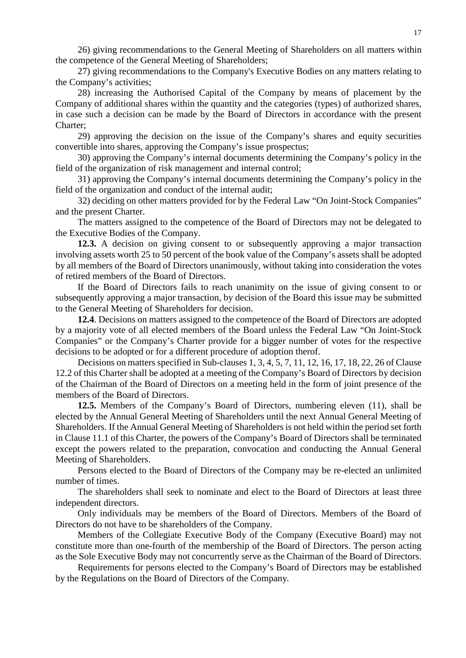26) giving recommendations to the General Meeting of Shareholders on all matters within the competence of the General Meeting of Shareholders;

27) giving recommendations to the Company's Executive Bodies on any matters relating to the Company's activities;

28) increasing the Authorised Capital of the Company by means of placement by the Company of additional shares within the quantity and the categories (types) of authorized shares, in case such a decision can be made by the Board of Directors in accordance with the present Charter;

29) approving the decision on the issue of the Company's shares and equity securities convertible into shares, approving the Company's issue prospectus;

30) approving the Company's internal documents determining the Company's policy in the field of the organization of risk management and internal control;

31) approving the Company's internal documents determining the Company's policy in the field of the organization and conduct of the internal audit;

32) deciding on other matters provided for by the Federal Law "On Joint-Stock Companies" and the present Charter.

The matters assigned to the competence of the Board of Directors may not be delegated to the Executive Bodies of the Company.

**12.3.** A decision on giving consent to or subsequently approving a major transaction involving assets worth 25 to 50 percent of the book value of the Company's assets shall be adopted by all members of the Board of Directors unanimously, without taking into consideration the votes of retired members of the Board of Directors.

If the Board of Directors fails to reach unanimity on the issue of giving consent to or subsequently approving a major transaction, by decision of the Board this issue may be submitted to the General Meeting of Shareholders for decision.

**12.4**. Decisions on matters assigned to the competence of the Board of Directors are adopted by a majority vote of all elected members of the Board unless the Federal Law "On Joint-Stock Companies" or the Company's Charter provide for a bigger number of votes for the respective decisions to be adopted or for a different procedure of adoption therof.

Decisions on matters specified in Sub-clauses 1, 3, 4, 5, 7, 11, 12, 16, 17, 18, 22, 26 of Clause 12.2 of this Charter shall be adopted at a meeting of the Company's Board of Directors by decision of the Chairman of the Board of Directors on a meeting held in the form of joint presence of the members of the Board of Directors.

**12.5.** Members of the Company's Board of Directors, numbering eleven (11), shall be elected by the Annual General Meeting of Shareholders until the next Annual General Meeting of Shareholders. If the Annual General Meeting of Shareholders is not held within the period set forth in Clause 11.1 of this Charter, the powers of the Company's Board of Directors shall be terminated except the powers related to the preparation, convocation and conducting the Annual General Meeting of Shareholders.

Persons elected to the Board of Directors of the Company may be re-elected an unlimited number of times.

The shareholders shall seek to nominate and elect to the Board of Directors at least three independent directors.

Only individuals may be members of the Board of Directors. Members of the Board of Directors do not have to be shareholders of the Company.

Members of the Collegiate Executive Body of the Company (Executive Board) may not constitute more than one-fourth of the membership of the Board of Directors. The person acting as the Sole Executive Body may not concurrently serve as the Chairman of the Board of Directors.

Requirements for persons elected to the Company's Board of Directors may be established by the Regulations on the Board of Directors of the Company*.*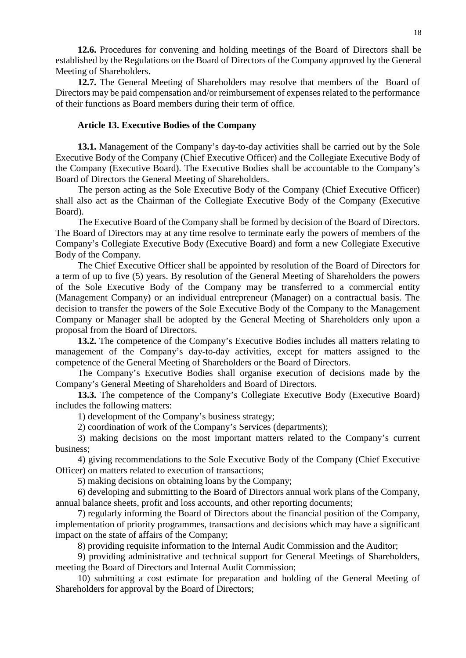**12.6.** Procedures for convening and holding meetings of the Board of Directors shall be established by the Regulations on the Board of Directors of the Company approved by the General Meeting of Shareholders.

**12.7.** The General Meeting of Shareholders may resolve that members of the Board of Directors may be paid compensation and/or reimbursement of expenses related to the performance of their functions as Board members during their term of office.

### **Article 13. Executive Bodies of the Company**

**13.1.** Management of the Company's day-to-day activities shall be carried out by the Sole Executive Body of the Company (Chief Executive Officer) and the Collegiate Executive Body of the Company (Executive Board). The Executive Bodies shall be accountable to the Company's Board of Directors the General Meeting of Shareholders.

The person acting as the Sole Executive Body of the Company (Chief Executive Officer) shall also act as the Chairman of the Collegiate Executive Body of the Company (Executive Board).

The Executive Board of the Company shall be formed by decision of the Board of Directors. The Board of Directors may at any time resolve to terminate early the powers of members of the Company's Collegiate Executive Body (Executive Board) and form a new Collegiate Executive Body of the Company.

The Chief Executive Officer shall be appointed by resolution of the Board of Directors for a term of up to five (5) years. By resolution of the General Meeting of Shareholders the powers of the Sole Executive Body of the Company may be transferred to a commercial entity (Management Company) or an individual entrepreneur (Manager) on a contractual basis. The decision to transfer the powers of the Sole Executive Body of the Company to the Management Company or Manager shall be adopted by the General Meeting of Shareholders only upon a proposal from the Board of Directors.

**13.2.** The competence of the Company's Executive Bodies includes all matters relating to management of the Company's day-to-day activities, except for matters assigned to the competence of the General Meeting of Shareholders or the Board of Directors.

The Company's Executive Bodies shall organise execution of decisions made by the Company's General Meeting of Shareholders and Board of Directors.

**13.3.** The competence of the Company's Collegiate Executive Body (Executive Board) includes the following matters:

1) development of the Company's business strategy;

2) coordination of work of the Company's Services (departments);

3) making decisions on the most important matters related to the Company's current business;

4) giving recommendations to the Sole Executive Body of the Company (Chief Executive Officer) on matters related to execution of transactions;

5) making decisions on obtaining loans by the Company;

6) developing and submitting to the Board of Directors annual work plans of the Company, annual balance sheets, profit and loss accounts, and other reporting documents;

7) regularly informing the Board of Directors about the financial position of the Company, implementation of priority programmes, transactions and decisions which may have a significant impact on the state of affairs of the Company;

8) providing requisite information to the Internal Audit Commission and the Auditor;

9) providing administrative and technical support for General Meetings of Shareholders, meeting the Board of Directors and Internal Audit Commission;

10) submitting a cost estimate for preparation and holding of the General Meeting of Shareholders for approval by the Board of Directors;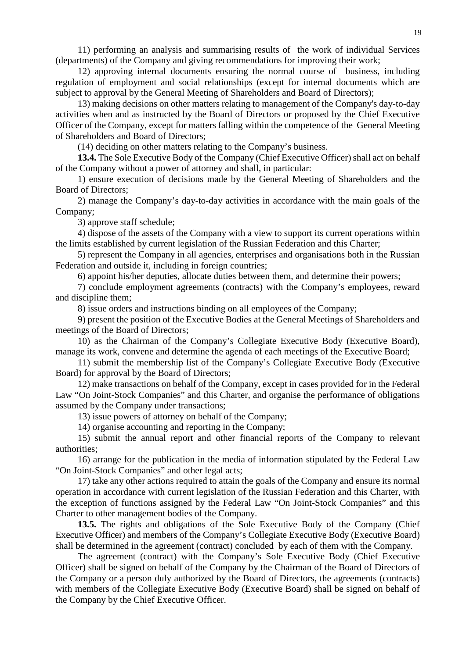11) performing an analysis and summarising results of the work of individual Services (departments) of the Company and giving recommendations for improving their work;

12) approving internal documents ensuring the normal course of business, including regulation of employment and social relationships (except for internal documents which are subject to approval by the General Meeting of Shareholders and Board of Directors);

13) making decisions on other matters relating to management of the Company's day-to-day activities when and as instructed by the Board of Directors or proposed by the Chief Executive Officer of the Company, except for matters falling within the competence of the General Meeting of Shareholders and Board of Directors;

(14) deciding on other matters relating to the Company's business.

**13.4.** The Sole Executive Body of the Company (Chief Executive Officer) shall act on behalf of the Company without a power of attorney and shall, in particular:

1) ensure execution of decisions made by the General Meeting of Shareholders and the Board of Directors;

2) manage the Company's day-to-day activities in accordance with the main goals of the Company;

3) approve staff schedule;

4) dispose of the assets of the Company with a view to support its current operations within the limits established by current legislation of the Russian Federation and this Charter;

5) represent the Company in all agencies, enterprises and organisations both in the Russian Federation and outside it, including in foreign countries;

6) appoint his/her deputies, allocate duties between them, and determine their powers;

7) conclude employment agreements (contracts) with the Company's employees, reward and discipline them;

8) issue orders and instructions binding on all employees of the Company;

9) present the position of the Executive Bodies at the General Meetings of Shareholders and meetings of the Board of Directors;

10) as the Chairman of the Company's Collegiate Executive Body (Executive Board), manage its work, convene and determine the agenda of each meetings of the Executive Board;

11) submit the membership list of the Company's Collegiate Executive Body (Executive Board) for approval by the Board of Directors;

12) make transactions on behalf of the Company, except in cases provided for in the Federal Law "On Joint-Stock Companies" and this Charter, and organise the performance of obligations assumed by the Company under transactions;

13) issue powers of attorney on behalf of the Company;

14) organise accounting and reporting in the Company;

15) submit the annual report and other financial reports of the Company to relevant authorities;

16) arrange for the publication in the media of information stipulated by the Federal Law "On Joint-Stock Companies" and other legal acts;

17) take any other actions required to attain the goals of the Company and ensure its normal operation in accordance with current legislation of the Russian Federation and this Charter, with the exception of functions assigned by the Federal Law "On Joint-Stock Companies" and this Charter to other management bodies of the Company.

**13.5.** The rights and obligations of the Sole Executive Body of the Company (Chief Executive Officer) and members of the Company's Collegiate Executive Body (Executive Board) shall be determined in the agreement (contract) concluded by each of them with the Company.

The agreement (contract) with the Company's Sole Executive Body (Chief Executive Officer) shall be signed on behalf of the Company by the Chairman of the Board of Directors of the Company or a person duly authorized by the Board of Directors, the agreements (contracts) with members of the Collegiate Executive Body (Executive Board) shall be signed on behalf of the Company by the Chief Executive Officer.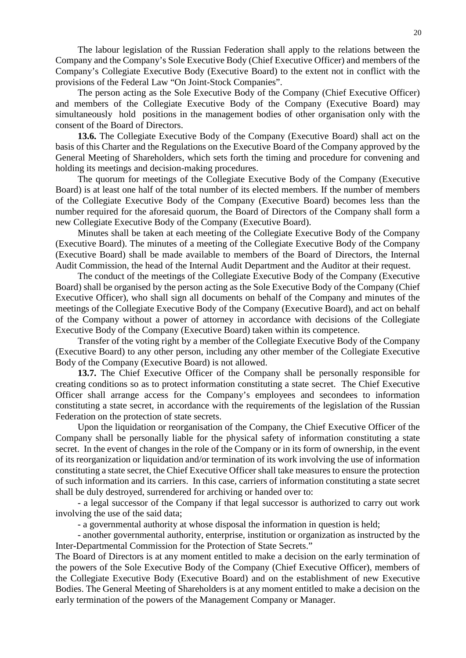The labour legislation of the Russian Federation shall apply to the relations between the Company and the Company's Sole Executive Body (Chief Executive Officer) and members of the Company's Collegiate Executive Body (Executive Board) to the extent not in conflict with the provisions of the Federal Law "On Joint-Stock Companies".

The person acting as the Sole Executive Body of the Company (Chief Executive Officer) and members of the Collegiate Executive Body of the Company (Executive Board) may simultaneously hold positions in the management bodies of other organisation only with the consent of the Board of Directors.

**13.6.** The Collegiate Executive Body of the Company (Executive Board) shall act on the basis of this Charter and the Regulations on the Executive Board of the Company approved by the General Meeting of Shareholders, which sets forth the timing and procedure for convening and holding its meetings and decision-making procedures.

The quorum for meetings of the Collegiate Executive Body of the Company (Executive Board) is at least one half of the total number of its elected members. If the number of members of the Collegiate Executive Body of the Company (Executive Board) becomes less than the number required for the aforesaid quorum, the Board of Directors of the Company shall form a new Collegiate Executive Body of the Company (Executive Board).

Minutes shall be taken at each meeting of the Collegiate Executive Body of the Company (Executive Board). The minutes of a meeting of the Collegiate Executive Body of the Company (Executive Board) shall be made available to members of the Board of Directors, the Internal Audit Commission, the head of the Internal Audit Department and the Auditor at their request.

The conduct of the meetings of the Collegiate Executive Body of the Company (Executive Board) shall be organised by the person acting as the Sole Executive Body of the Company (Chief Executive Officer), who shall sign all documents on behalf of the Company and minutes of the meetings of the Collegiate Executive Body of the Company (Executive Board), and act on behalf of the Company without a power of attorney in accordance with decisions of the Collegiate Executive Body of the Company (Executive Board) taken within its competence.

Transfer of the voting right by a member of the Collegiate Executive Body of the Company (Executive Board) to any other person, including any other member of the Collegiate Executive Body of the Company (Executive Board) is not allowed.

**13.7.** The Chief Executive Officer of the Company shall be personally responsible for creating conditions so as to protect information constituting a state secret. The Chief Executive Officer shall arrange access for the Company's employees and secondees to information constituting a state secret, in accordance with the requirements of the legislation of the Russian Federation on the protection of state secrets.

Upon the liquidation or reorganisation of the Company, the Chief Executive Officer of the Company shall be personally liable for the physical safety of information constituting a state secret. In the event of changes in the role of the Company or in its form of ownership, in the event of its reorganization or liquidation and/or termination of its work involving the use of information constituting a state secret, the Chief Executive Officer shall take measures to ensure the protection of such information and its carriers. In this case, carriers of information constituting a state secret shall be duly destroyed, surrendered for archiving or handed over to:

- a legal successor of the Company if that legal successor is authorized to carry out work involving the use of the said data;

- a governmental authority at whose disposal the information in question is held;

- another governmental authority, enterprise, institution or organization as instructed by the Inter-Departmental Commission for the Protection of State Secrets."

The Board of Directors is at any moment entitled to make a decision on the early termination of the powers of the Sole Executive Body of the Company (Chief Executive Officer), members of the Collegiate Executive Body (Executive Board) and on the establishment of new Executive Bodies. The General Meeting of Shareholders is at any moment entitled to make a decision on the early termination of the powers of the Management Company or Manager.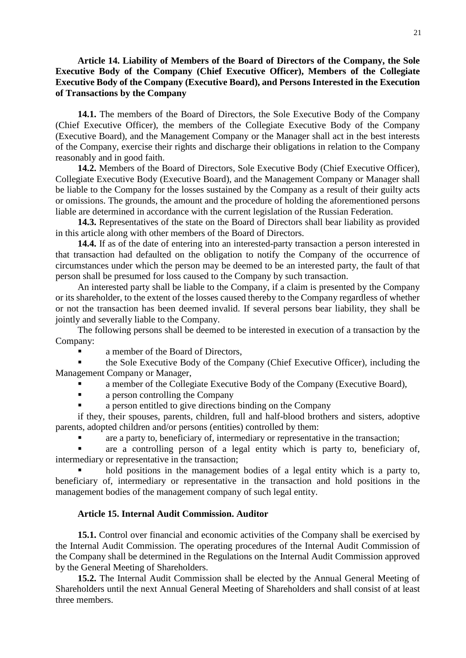**Article 14. Liability of Members of the Board of Directors of the Company, the Sole Executive Body of the Company (Chief Executive Officer), Members of the Collegiate Executive Body of the Company (Executive Board), and Persons Interested in the Execution of Transactions by the Company** 

**14.1.** The members of the Board of Directors, the Sole Executive Body of the Company (Chief Executive Officer), the members of the Collegiate Executive Body of the Company (Executive Board), and the Management Company or the Manager shall act in the best interests of the Company, exercise their rights and discharge their obligations in relation to the Company reasonably and in good faith.

**14.2.** Members of the Board of Directors, Sole Executive Body (Chief Executive Officer), Collegiate Executive Body (Executive Board), and the Management Company or Manager shall be liable to the Company for the losses sustained by the Company as a result of their guilty acts or omissions. The grounds, the amount and the procedure of holding the aforementioned persons liable are determined in accordance with the current legislation of the Russian Federation.

**14.3.** Representatives of the state on the Board of Directors shall bear liability as provided in this article along with other members of the Board of Directors.

**14.4.** If as of the date of entering into an interested-party transaction a person interested in that transaction had defaulted on the obligation to notify the Company of the occurrence of circumstances under which the person may be deemed to be an interested party, the fault of that person shall be presumed for loss caused to the Company by such transaction.

An interested party shall be liable to the Company, if a claim is presented by the Company or its shareholder, to the extent of the losses caused thereby to the Company regardless of whether or not the transaction has been deemed invalid. If several persons bear liability, they shall be jointly and severally liable to the Company.

The following persons shall be deemed to be interested in execution of a transaction by the Company:

**a** member of the Board of Directors,

 the Sole Executive Body of the Company (Chief Executive Officer), including the Management Company or Manager,

- a member of the Collegiate Executive Body of the Company (Executive Board),
- **a** a person controlling the Company
- a person entitled to give directions binding on the Company

if they, their spouses, parents, children, full and half-blood brothers and sisters, adoptive parents, adopted children and/or persons (entities) controlled by them:

are a party to, beneficiary of, intermediary or representative in the transaction;

 are a controlling person of a legal entity which is party to, beneficiary of, intermediary or representative in the transaction;

 hold positions in the management bodies of a legal entity which is a party to, beneficiary of, intermediary or representative in the transaction and hold positions in the management bodies of the management company of such legal entity.

### **Article 15. Internal Audit Commission. Auditor**

**15.1.** Control over financial and economic activities of the Company shall be exercised by the Internal Audit Commission. The operating procedures of the Internal Audit Commission of the Company shall be determined in the Regulations on the Internal Audit Commission approved by the General Meeting of Shareholders.

**15.2.** The Internal Audit Commission shall be elected by the Annual General Meeting of Shareholders until the next Annual General Meeting of Shareholders and shall consist of at least three members.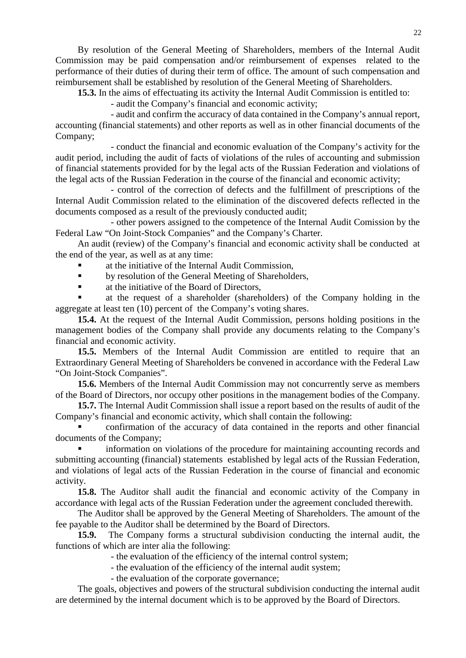By resolution of the General Meeting of Shareholders, members of the Internal Audit Commission may be paid compensation and/or reimbursement of expenses related to the performance of their duties of during their term of office. The amount of such compensation and reimbursement shall be established by resolution of the General Meeting of Shareholders.

**15.3.** In the aims of effectuating its activity the Internal Audit Commission is entitled to:

- audit the Company's financial and economic activity;

- audit and confirm the accuracy of data contained in the Company's annual report, accounting (financial statements) and other reports as well as in other financial documents of the Company;

- conduct the financial and economic evaluation of the Company's activity for the audit period, including the audit of facts of violations of the rules of accounting and submission of financial statements provided for by the legal acts of the Russian Federation and violations of the legal acts of the Russian Federation in the course of the financial and economic activity;

- control of the correction of defects and the fulfillment of prescriptions of the Internal Audit Commission related to the elimination of the discovered defects reflected in the documents composed as a result of the previously conducted audit;

- other powers assigned to the competence of the Internal Audit Comission by the Federal Law "On Joint-Stock Companies" and the Company's Charter.

An audit (review) of the Company's financial and economic activity shall be conducted at the end of the year, as well as at any time:

- at the initiative of the Internal Audit Commission,
- **by resolution of the General Meeting of Shareholders,**
- at the initiative of the Board of Directors,

 at the request of a shareholder (shareholders) of the Company holding in the aggregate at least ten (10) percent of the Company's voting shares.

**15.4.** At the request of the Internal Audit Commission, persons holding positions in the management bodies of the Company shall provide any documents relating to the Company's financial and economic activity.

**15.5.** Members of the Internal Audit Commission are entitled to require that an Extraordinary General Meeting of Shareholders be convened in accordance with the Federal Law "On Joint-Stock Companies".

**15.6.** Members of the Internal Audit Commission may not concurrently serve as members of the Board of Directors, nor occupy other positions in the management bodies of the Company.

**15.7.** The Internal Audit Commission shall issue a report based on the results of audit of the Company's financial and economic activity, which shall contain the following:

 confirmation of the accuracy of data contained in the reports and other financial documents of the Company;

 information on violations of the procedure for maintaining accounting records and submitting accounting (financial) statements established by legal acts of the Russian Federation, and violations of legal acts of the Russian Federation in the course of financial and economic activity.

**15.8.** The Auditor shall audit the financial and economic activity of the Company in accordance with legal acts of the Russian Federation under the agreement concluded therewith.

The Auditor shall be approved by the General Meeting of Shareholders. The amount of the fee payable to the Auditor shall be determined by the Board of Directors.

**15.9.** The Company forms a structural subdivision conducting the internal audit, the functions of which are inter alia the following:

- the evaluation of the efficiency of the internal control system;

- the evaluation of the efficiency of the internal audit system;

- the evaluation of the corporate governance;

The goals, objectives and powers of the structural subdivision conducting the internal audit are determined by the internal document which is to be approved by the Board of Directors.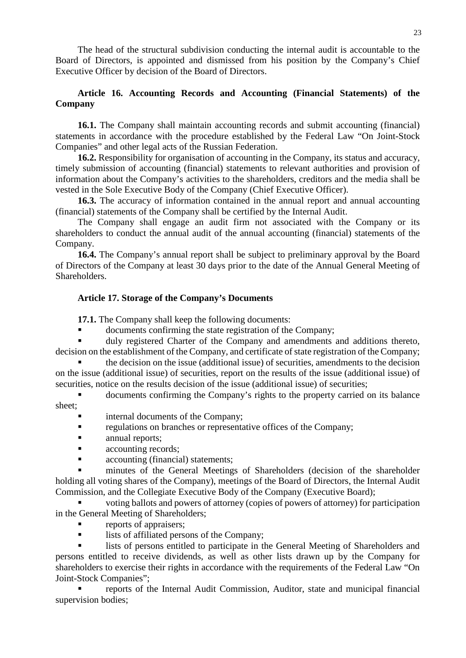The head of the structural subdivision conducting the internal audit is accountable to the Board of Directors, is appointed and dismissed from his position by the Company's Chief Executive Officer by decision of the Board of Directors.

# **Article 16. Accounting Records and Accounting (Financial Statements) of the Company**

**16.1.** The Company shall maintain accounting records and submit accounting (financial) statements in accordance with the procedure established by the Federal Law "On Joint-Stock Companies" and other legal acts of the Russian Federation.

**16.2.** Responsibility for organisation of accounting in the Company, its status and accuracy, timely submission of accounting (financial) statements to relevant authorities and provision of information about the Company's activities to the shareholders, creditors and the media shall be vested in the Sole Executive Body of the Company (Chief Executive Officer).

**16.3.** The accuracy of information contained in the annual report and annual accounting (financial) statements of the Company shall be certified by the Internal Audit.

The Company shall engage an audit firm not associated with the Company or its shareholders to conduct the annual audit of the annual accounting (financial) statements of the Company.

**16.4.** The Company's annual report shall be subject to preliminary approval by the Board of Directors of the Company at least 30 days prior to the date of the Annual General Meeting of Shareholders.

## **Article 17. Storage of the Company's Documents**

**17.1.** The Company shall keep the following documents:

documents confirming the state registration of the Company;

 duly registered Charter of the Company and amendments and additions thereto, decision on the establishment of the Company, and certificate of state registration of the Company;

 the decision on the issue (additional issue) of securities, amendments to the decision on the issue (additional issue) of securities, report on the results of the issue (additional issue) of securities, notice on the results decision of the issue (additional issue) of securities;

 documents confirming the Company's rights to the property carried on its balance sheet;

- internal documents of the Company;
- regulations on branches or representative offices of the Company;
- **annual reports;**
- **accounting records;**
- **accounting (financial) statements;**

 minutes of the General Meetings of Shareholders (decision of the shareholder holding all voting shares of the Company), meetings of the Board of Directors, the Internal Audit Commission, and the Collegiate Executive Body of the Company (Executive Board);

 voting ballots and powers of attorney (copies of powers of attorney) for participation in the General Meeting of Shareholders;

- reports of appraisers;
- **I** lists of affiliated persons of the Company:

 lists of persons entitled to participate in the General Meeting of Shareholders and persons entitled to receive dividends, as well as other lists drawn up by the Company for shareholders to exercise their rights in accordance with the requirements of the Federal Law "On Joint-Stock Companies";

 reports of the Internal Audit Commission, Auditor, state and municipal financial supervision bodies;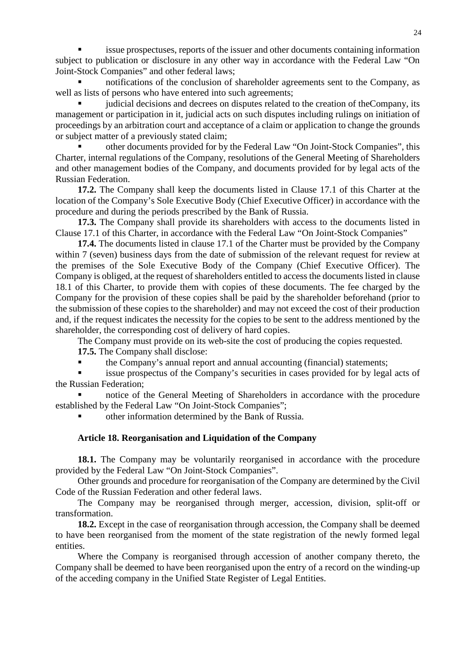issue prospectuses, reports of the issuer and other documents containing information subject to publication or disclosure in any other way in accordance with the Federal Law "On Joint-Stock Companies" and other federal laws;

 notifications of the conclusion of shareholder agreements sent to the Company, as well as lists of persons who have entered into such agreements;

 judicial decisions and decrees on disputes related to the creation of theCompany, its management or participation in it, judicial acts on such disputes including rulings on initiation of proceedings by an arbitration court and acceptance of a claim or application to change the grounds or subject matter of a previously stated claim;

 other documents provided for by the Federal Law "On Joint-Stock Companies", this Charter, internal regulations of the Company, resolutions of the General Meeting of Shareholders and other management bodies of the Company, and documents provided for by legal acts of the Russian Federation.

**17.2.** The Company shall keep the documents listed in Clause 17.1 of this Charter at the location of the Company's Sole Executive Body (Chief Executive Officer) in accordance with the procedure and during the periods prescribed by the Bank of Russia.

**17.3.** The Company shall provide its shareholders with access to the documents listed in Clause 17.1 of this Charter, in accordance with the Federal Law "On Joint-Stock Companies"

**17.4.** The documents listed in clause 17.1 of the Charter must be provided by the Company within 7 (seven) business days from the date of submission of the relevant request for review at the premises of the Sole Executive Body of the Company (Chief Executive Officer). The Company is obliged, at the request of shareholders entitled to access the documents listed in clause 18.1 of this Charter, to provide them with copies of these documents. The fee charged by the Company for the provision of these copies shall be paid by the shareholder beforehand (prior to the submission of these copies to the shareholder) and may not exceed the cost of their production and, if the request indicates the necessity for the copies to be sent to the address mentioned by the shareholder, the corresponding cost of delivery of hard copies.

The Company must provide on its web-site the cost of producing the copies requested.

**17.5.** The Company shall disclose:

the Company's annual report and annual accounting (financial) statements;

 issue prospectus of the Company's securities in cases provided for by legal acts of the Russian Federation;

 notice of the General Meeting of Shareholders in accordance with the procedure established by the Federal Law "On Joint-Stock Companies";

other information determined by the Bank of Russia.

### **Article 18. Reorganisation and Liquidation of the Company**

**18.1.** The Company may be voluntarily reorganised in accordance with the procedure provided by the Federal Law "On Joint-Stock Companies".

Other grounds and procedure for reorganisation of the Company are determined by the Civil Code of the Russian Federation and other federal laws.

The Company may be reorganised through merger, accession, division, split-off or transformation.

**18.2.** Except in the case of reorganisation through accession, the Company shall be deemed to have been reorganised from the moment of the state registration of the newly formed legal entities.

Where the Company is reorganised through accession of another company thereto, the Company shall be deemed to have been reorganised upon the entry of a record on the winding-up of the acceding company in the Unified State Register of Legal Entities.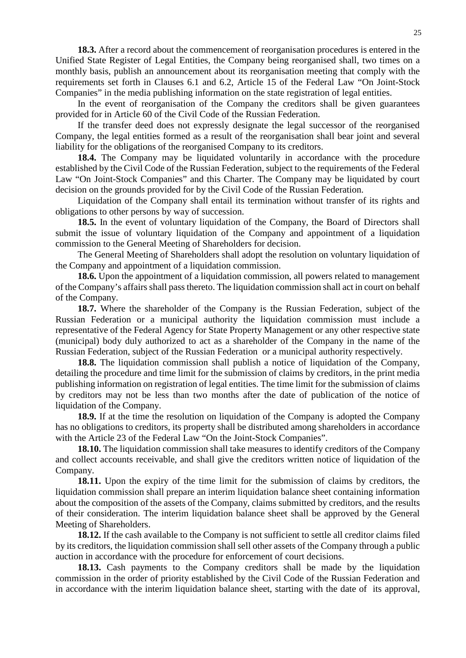**18.3.** After a record about the commencement of reorganisation procedures is entered in the Unified State Register of Legal Entities, the Company being reorganised shall, two times on a monthly basis, publish an announcement about its reorganisation meeting that comply with the requirements set forth in Clauses 6.1 and 6.2, Article 15 of the Federal Law "On Joint-Stock Companies" in the media publishing information on the state registration of legal entities.

In the event of reorganisation of the Company the creditors shall be given guarantees provided for in Article 60 of the Civil Code of the Russian Federation.

If the transfer deed does not expressly designate the legal successor of the reorganised Company, the legal entities formed as a result of the reorganisation shall bear joint and several liability for the obligations of the reorganised Company to its creditors.

**18.4.** The Company may be liquidated voluntarily in accordance with the procedure established by the Civil Code of the Russian Federation, subject to the requirements of the Federal Law "On Joint-Stock Companies" and this Charter. The Company may be liquidated by court decision on the grounds provided for by the Civil Code of the Russian Federation.

Liquidation of the Company shall entail its termination without transfer of its rights and obligations to other persons by way of succession.

**18.5.** In the event of voluntary liquidation of the Company, the Board of Directors shall submit the issue of voluntary liquidation of the Company and appointment of a liquidation commission to the General Meeting of Shareholders for decision.

The General Meeting of Shareholders shall adopt the resolution on voluntary liquidation of the Company and appointment of a liquidation commission.

**18.6.** Upon the appointment of a liquidation commission, all powers related to management of the Company's affairs shall pass thereto. The liquidation commission shall act in court on behalf of the Company.

**18.7.** Where the shareholder of the Company is the Russian Federation, subject of the Russian Federation or a municipal authority the liquidation commission must include a representative of the Federal Agency for State Property Management or any other respective state (municipal) body duly authorized to act as a shareholder of the Company in the name of the Russian Federation, subject of the Russian Federation or a municipal authority respectively.

**18.8.** The liquidation commission shall publish a notice of liquidation of the Company, detailing the procedure and time limit for the submission of claims by creditors, in the print media publishing information on registration of legal entities. The time limit for the submission of claims by creditors may not be less than two months after the date of publication of the notice of liquidation of the Company.

**18.9.** If at the time the resolution on liquidation of the Company is adopted the Company has no obligations to creditors, its property shall be distributed among shareholders in accordance with the Article 23 of the Federal Law "On the Joint-Stock Companies".

**18.10.** The liquidation commission shall take measures to identify creditors of the Company and collect accounts receivable, and shall give the creditors written notice of liquidation of the Company.

**18.11.** Upon the expiry of the time limit for the submission of claims by creditors, the liquidation commission shall prepare an interim liquidation balance sheet containing information about the composition of the assets of the Company, claims submitted by creditors, and the results of their consideration. The interim liquidation balance sheet shall be approved by the General Meeting of Shareholders.

**18.12.** If the cash available to the Company is not sufficient to settle all creditor claims filed by its creditors, the liquidation commission shall sell other assets of the Company through a public auction in accordance with the procedure for enforcement of court decisions.

**18.13.** Cash payments to the Company creditors shall be made by the liquidation commission in the order of priority established by the Civil Code of the Russian Federation and in accordance with the interim liquidation balance sheet, starting with the date of its approval,